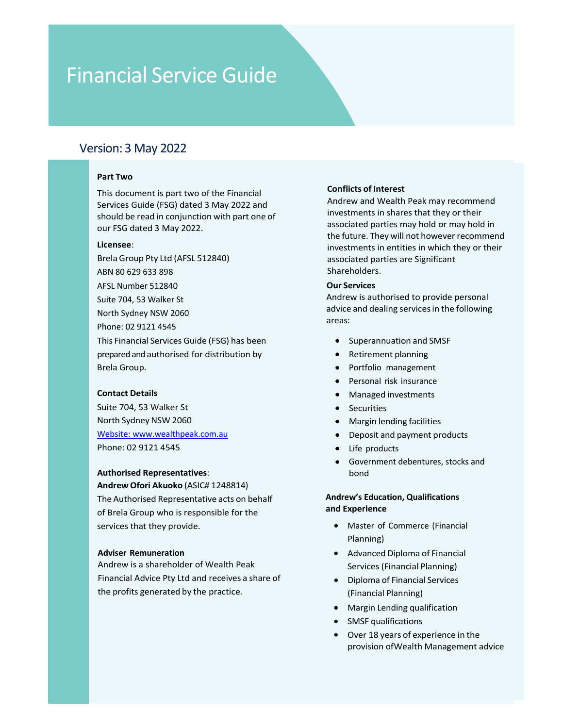## Version: 3 May 2022

**EXECUTE:**<br> **EXECUTE:**<br> **PART TWO**<br> **PART TWO**<br> **PART TWO**<br> **PART TWO**<br> **PART TWO**<br> **PART TWO**<br> **PART TWO**<br> **PART TWO SO THE THE TWO SOLUTES AND A PART OF A PART OF SOME AND WELD PART OF SOME PART OF SOME PART OF A PART AN** 

## Licensee:

ABN 80 629 633 898 AFSL Number 512840 Suite 704, 53 Walker St North Sydney NSW 2060 Phone: 02 9121 4545 Sion: 3 May 2022<br> **Part Two**<br>
This document is part two of the Financial<br>
Services Guide (FSG) dated 3 May 2022 and<br>
should be read in conjunction with part one of<br>
six dated 3 May 2022.<br>
License:<br>
License:<br>
License:<br>
Lice sion: 3 May 2022<br> **Part Two**<br>
This document is part two of the Financial<br>
Services Guided S May 2022 and<br>
Services Guided S May 2022<br>
Services Guided S May 2022<br>
Services of the future. They will not however recommend<br>
Lic Sion: 3 May 2022<br>
Part Two<br>
This document is part two of the Financial<br>
Services Guide (FSG) dated 3 May 2022 and<br>
services Guide (FSG) dated 3 May 2022<br>
Licensee:<br>
the future. They will not be easily and the properties in **Part Two**<br>
This document is part two of the Financial<br>
Services Guide (FSG) dated 3 May 2022 and<br>
shoud be read in conjunction with part one of<br>
investments in shares that<br>
the future. They will not ho<br>
Licensee:<br>
License **Part Iwo**<br>
This document is part two of the Financial<br>
Services Guide (FSG) dated 3 May 2022 and<br>
should be read in conjunction with part one of<br>
sincesternest in shares that they or their<br>
stressee:<br>
Licensee:<br>
Licensee: This document is part two of the Financial<br>
Services Guide (FSG) dated 3 May 2022 and<br>
Should be read in conjunction with part one of<br>
should be read in conjunction with part one of<br>
since and the future. They will not how Should be read an conjunction with part one of<br>
our FSG dated 3 May 2022.<br>
The future. They will not bowever methind<br>
Brela Group Pty Ltd (AFSL 512840)<br>
ABN 80 629 633 898<br>
Shareholders.<br>
Shareholders.<br>
Shareholders.<br>
Shar Licensee:<br>
ARIS Croup Pty Ltd (AFSL 512840)<br>
ARIS ROG 29 633 898<br>
ARIS RUmber 512840<br>
ARIS RUmber 512840<br>
ARIS RUmber 512840<br>
Shareholders.<br>
ACSL Number 512840<br>
Shareholders.<br>
ACSL Number 102840<br>
ACSL Number 512840<br>
ACSL N Brela Group Pty Ltd (AFSL 512840)<br>
ABO associated parties are Significant<br>
AFSL Number 512840<br>
AFSL Number 512840<br>
AFSL Number 512840<br>
ACH Sydney NSW 2006<br>
Morth Sydney NSW 2006<br>
This Financial Services Guide (FSG) has bee ABN 20629 633 898<br>
Shareholders.<br>
Suite POM, 53 Walker St<br>
Suite POM, 53 Walker St<br>
North Sydney NSW 2060<br>
Suite POM, SSUIN 4545<br>
This Financial Services Guide (FSG) has been<br> **COMENT AUTHORICAL COMPLANT COMPLANT COMPLANT** Arsl, Number 512840<br>
Suite 704, 53 Walkers to the Material Suite of Payaller Side (FSG) has been<br>
Mortew is authorised to provide personal<br>
Mortew is authorised of distribution by<br>
Prepared and athorised for distribution b Suite 704, 53 Walker St<br>
North Sydney NSW 2060<br>
Phone: 02 9121 4545<br>
Phone: 02 9121 4545<br>
This Financial Services Guide (FSG) has been<br>
Phone: 02 9121 4545<br>
Suite 704, 53 Walker St<br>
Contact Details<br>
Suite 704, 53 Walker St

Website: www.wealthpeak.com.au

This Financial Services Guide (FSG) has been<br>
experammation and SMSF<br>
Streak Group.<br>
Contact Details<br>
Streak Group.<br>
Andrew is a swaker Streak Only and the Context Peak of Margin lending facilities<br>
North Sydney NSW 2060<br> prepared and authorised for distribution by<br> **Excellence and Financial Advisor Contact Details**<br>
Significant Contact Details<br>
Significant Significant Contact Designed interactions:<br>
Morth Sydney NSW 2060<br>
Morth Sydney NSW Brela Group.<br>
Contact Details<br>
Suite 704, 53 Walker St<br>
North Sydney NSW 2060<br>
Managed investments<br>
North Sydney NSW 2060<br>
Website:.www.wealtheek.com.au<br>
Whore:.02 91214545<br>
Phone:.02 91214545<br>
Phone:.02 91214545<br>
Andrew S

## Adviser Remuneration

 $\begin{array}{lll} \text{3 MQ} & \text{3 MQ} & \text{3 DCP} \end{array}$ <br>
This document is part two of the Financial<br>
This document is part two of the Financial<br>
This document is part two of the Financial<br>
Services Guide (FSG) dated 3 May 2022 and<br>
should Services Guide (FSG) dated 3 May 2022 and sion: 3 May 2022<br>
Part Two Section 2022<br>
Part Two Section 2022<br>
Part The Section with part with part of the Financial<br>
Services Guide (FSG) dated 3 May 2022 and<br>
sections and Wealth Peak may recommend<br>
section with part o **CONTROVE STAT SET AND REVENUES AND SET AND SET AND RELATED SET AND RELATED SET AND RELATED SET AND RELATED SET AND RELATED SET AND RELATED SET AND RELATED SET AND RELATED SURFACT AND RELATED SURFACT AND SOLUT AND RELATED** 3<br>
Sion: 3 May 2022<br>
Part Two<br>
This document is part two of the Financial<br>
This document is part two of the Financial<br>
Services Guide (FSG) dated 3 May 2022 and<br>
Services Guide (FSG) dated 3 May 2022<br>
Mark and Wester and W **Conflicts of Interest**<br>Andrew and Wealth Peak may recommend<br>investments in shares that they or their<br>associated parties may hold or may hold in<br>the future. They will not however recommend<br>investments in entities in which **Conflicts of Interest**<br>Andrew and Wealth Peak may recommend<br>investments in shares that they or their<br>associated parties may hold or may hold in<br>the future. They will not however recommend<br>investments in entities in which **Conflicts of Interest**<br>Andrew and Wealth Peak may recommend<br>investments in shares that they or their<br>associated parties may hold or may hold in<br>the future. They will not however recommend<br>investments in entities in which **Conflicts of Interest**<br>Andrew and Wealth Peak may recommend<br>investments in shares that they or their<br>associated parties may hold or may hold in<br>the future. They will not however recommend<br>investments in entities in which **Conflicts of Interest**<br>Andrew and Wealth Peak may recommend<br>investments in shares that they or their<br>associated parties may hold or may hold in<br>the future. They will not however recommend<br>investments in entities in which **Conflicts of Interest**<br>Andrew and Wealth Peak may recommend<br>Andrew and Wealth Peak may recommend<br>investments in shares that they or their<br>associated parties may hold or may hold in<br>the future. They will not however recomm **Conflicts of Interest**<br>Andrew and Wealth Peak may recommend<br>investments in shares that they or their<br>associated parties may hold or may hold in<br>the future. They will not however recommend<br>investments in entities in which Shareholders. **Conflicts of Interest**<br>
Andrew and Wealth Peak may recommend<br>
investments in shares that they or their<br>
associated parties may hold or may hold in<br>
the future. They will not however recommend<br>
investments in entities in w **Conflicts of Interest**<br>
Andrew and Wealth Peak may recommend<br>
investments in shares that they or their<br>
associated parties may hold or may hold in<br>
the future. They will not however recommend<br>
investments in entities in w **Conflicts of Interest**<br>
Andrew and Wealth Peak may recommend<br>
investments in shares that they or their<br>
associated parties may hold or may hold in<br>
the future. They will not however recommend<br>
investments in entities in w **Continuority**<br>
Superant Mexican and Wealth Peak may recommend<br>
Superants in shares that they or their<br>
Diated parties may hold or may hold in<br>
Inture. They will not however recommend<br>
ments in entities in which they or th icts of Interest<br>
exert we and Wealth Peak may recommend<br>
transition shares that they or their<br>
liated parties may hold or may hold in<br>
ture. They will not however recommend<br>
ments in entities in which they or their<br>
inter icts of Interest<br>ww and Wealth Peak may recommend<br>tments in shares that they or their<br>iated parties may hold or may hold in<br>ture. They will not however recommend<br>ments in entities in which they or their<br>iated parties are S Exercits of interest<br>we and Wealth Peak may recommend<br>timents in shares that they or their<br>iated parties may hold or may hold in<br>ture. They will not however recommend<br>timents in entities in which they or their<br>iated partie In the meant of the means of their<br>then this in shares that they or their<br>intered parties may hold or may hold in<br>ture. They will not however recommend<br>then the means in entities in which they or their<br>holders.<br>expresses i

areas: Our Services<br>
Andrew is authorised to provide personal<br>
advice and dealing services in the following<br>
areas:<br>
• Superannuation and SMSF<br>
• Retirement planning<br>
• Portfolio management<br>
• Personal risk insurance<br>
• Managed i

- 
- 
- Portfolio management
- Personal risk insurance
- 
- Securities
- 
- 
- Life products
- Government debentures, stocks and bond Superannuation and SMSF<br>
Retirement planning<br>
Portfolio management<br>
Personal risk insurance<br>
Managed investments<br>
Securities<br>
Margin lending facilities<br>
Deposit and payment products<br>
Life products<br>
Government debentures, s Superannuation and SMSF<br>Retirement planning<br>Portfolio management<br>Personal risk insurance<br>Managed investments<br>Securities<br>Margin lending facilities<br>Deposit and payment products<br>Life products<br>Government debentures, stocks and

## Andrew's Education, Qualifications

- Master of Commerce (Financial Planning)
- 
- 
- 
- 
- Retirement planning<br>
Portfolio management<br>
Personal risk insurance<br>
Managed investments<br>
Securities<br>
Margin lending facilities<br>
Deposit and payment products<br>
Life products<br>
Life products<br>
Government debentures, stocks and<br> Portfolio management<br>
Personal risk insurance<br>
Managed investments<br>
Securities<br>
Margin lending facilities<br>
Deposit and payment products<br>
Life products<br>
Government debentures, stocks and<br>
bond<br>
we's Education, Qualification Personal risk insurance<br>
Managed investments<br>
Securities<br>
Margin lending facilities<br>
Deposit and payment products<br>
Life products<br>
Life products<br>
Government debentures, stocks and<br>
bond<br>
w's Education, Qualifications<br>
xperi Managed investments<br>
Securities<br>
Margin lending facilities<br>
Deposit and payment products<br>
Life products<br>
Government debentures, stocks and<br>
bond<br>
w's Education, Qualifications<br> **xperience**<br>
Master of Commerce (Financial<br>
P Securities<br>
Margin lending facilities<br>
Deposit and payment products<br>
Life products<br>
Government debentures, stocks and<br>
bond<br>
we's Education, Qualifications<br>
xperience<br>
Master of Commerce (Financial<br>
Planning)<br>
Advanced Dip Margin lending facilities<br>Deposit and payment products<br>Life products<br>Government debentures, stocks and<br>bond<br>we's Education, Qualifications<br>sperience<br>Master of Commerce (Financial<br>Planning)<br>Advanced Diploma of Financial<br>Ser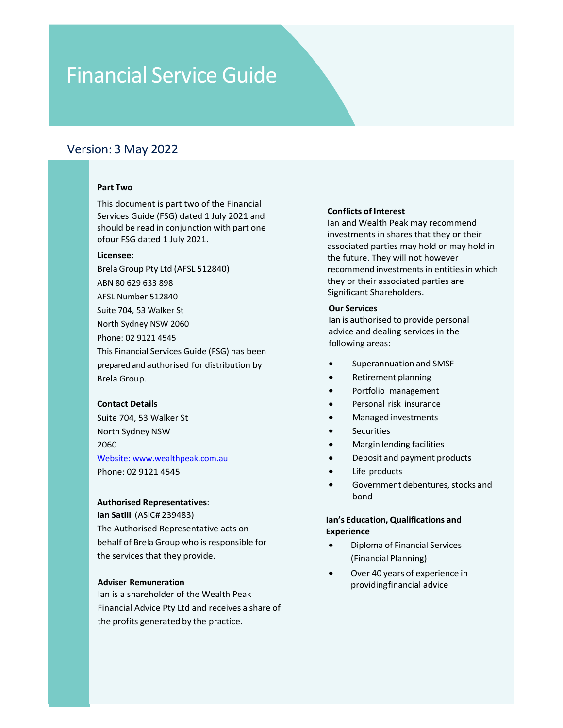## Version: 3 May 2022

**EXECUTE:**<br> **EXECUTE:**<br> **Part Two**<br> **Part Two**<br> **Part Two**<br> **Part Two**<br> **Part Two**<br> **Part Two**<br> **Part Two**<br> **Part Two**<br> **Part Two**<br> **Part Island Account Fig. deted 1 July 2021 and<br>
<b>Part Island Wealth Peak m**<br> **Dart Proper** 

## Licensee:

ABN 80 629 633 898 AFSL Number 512840 Suite 704, 53 Walker St North Sydney NSW 2060 Phone: 02 9121 4545 **Part Two**<br>
This document is part two of the Financial<br>
Tervices Guide (FSG) dated 1 July 2021 and<br>
Services Guide (FSG) dated 1 July 2021.<br> **Conflicts of Interest**<br>
Show FSG dated 1 July 2021.<br>
Investments in shares that **Part Two**<br> **Part Two**<br>
This document is part two of the Financial<br>
Services Guided 1 July 2021 and<br>
Should be read in conjunction with part one<br>
and and Wealth Peak may recommend<br>
ofour FSG dated 1 July 2021.<br> **Licensee:** 9. STAT TWO THE POST CONTROLL THE PROPORT ON A CONTROLL ON A CONTROLL CONDUCT SCREAM SHOW SERVICE SQUICE (FSG) dated 1 July 2021 and<br>
Services Guide (FSG) dated 1 July 2021 and<br>
stroughle read in conjunction with part one **Part Two**<br>
This document is part two of the Financial<br>
Services Guide (FSG) dated 1 July 2021 and<br>
should be read in conjunction with part one<br>
licensee:<br>
Licensee:<br>
Licensee:<br>
Licensee:<br>
Licensee:<br>
Services Guide (AFSL 5 Part Iwo<br>
Shericas Guide (FSG) dated 1 July 2021 and<br>
Services Guide (FSG) dated 1 July 2021 and<br>
should be read in conjunction with part one<br>
in an and Wealth Peak may recommend<br>
investments in shares that they or their<br> This document is part two of the Financial<br>
Services Guide (FSG) dated 1 July 2021 and<br>
Should be read in conjunction with part one<br>
should be read in conjunction with part one<br>
shocked parts proper PV Ltd (AFSL 512840)<br>
R Couries<br>
License:<br>
License:<br>
License:<br>
Brela Group Pty Ltd (AFSL 512840)<br>
The Future. They will not however<br>
ABN 80 629 633 898<br>
AFSL Number 512840<br>
Suite 70, 53 Walker St<br>
State 70, 53 Walker St<br>
North Sydney NSW 2060<br>
Ph AGN 80 629 633 898<br>
ABN 80 629 633 898<br>
ABN 80 629 633 898<br>
AGN 80 629 633 898<br>
Noth Sydney NSW 2060<br>
None: 02 9121 4545<br>
This Financial Services Guide (FSG) has been<br>
prepared and authorised for distribution by<br>
Nels Grou AD NO 229 0350<br>
AFSL Number 512840<br>
Suite 704, 53 Walker St<br>
North Sydney NSW 2060<br>
The Ancience: 02 91214 545<br>
This Financial Services Guide (FSG) has been<br>
The Satill Conviction By<br>
The Satill Conviction Band and Convict First Willien Sizon (Warrell and Sizon (Warrell and Sizon (Warrell and Sizon (Warrell and Sizon)<br>
Phone: 02 9121 4545<br>
This Finnacial Services Guide (FSG) has been<br>
representative and dealing services in the<br>
Finnacial Ser Souther one, 33 warker states and the providing framcal Services by the metallity of Breland Services in the Sinancial Services Guide (FSG) has been<br>
This Financial Services Guide (FSG) has been<br>
prepared and authorised fo Notin syding was visited and dealing services in the<br>
Phone: 02 91214545<br>
This Financial Services Guide (FSG) has been<br>
prepared and authorised for distribution by<br>
Brela Group.<br>
Brela Group.<br> **Contact Details**<br> **Contact D** 

2060 Website: www.wealthpeak.com.au

prepared and uthorised for distribution by<br>
Sheela Group.<br>
Sheeka Group.<br>
Sheeka Group.<br>
Sheeka Shorts Symbol and Personal risk insurance<br>
North Sydney NSW<br>
Noth Sydney NSW<br>
2060<br>
2060<br>
2060<br>
2060<br>
2061 - Securities<br>
North Brela Group.<br>
Contact Details<br>
Suite 70, 53 Walker St<br>
Suite 204, 53 Walker St<br>
North Sydney NSW<br>
North Sydney NSW<br>
North Sydney NSW<br>
North Sydney NSW<br>
2060<br>
Potenties<br>
Margin lending facilities<br>
Margin lending facilities<br> Contact Details<br>
Suite 704, 53 Walker St<br>
North Sydney NSW<br>
North Sydney NSW<br>
North Sydney NSW<br>
North Sydney NSW<br>
North Sydney NSW<br>
Nexthere www.wealthpeak.com.au<br>
Phone: 02 9121 4545<br>
Phone: 02 9121 4545<br>
Phone: 02 9121 4

## Adviser Remuneration

This document is part two of the Financial Services Guide (FSG) dated 1 July 2021 and should be read in conjunction with part one **CONTROVE STATE (STATE)**<br> **CONTROVER DEATER (STATE)**<br>
This document is part two of the Financial<br>
Services Guide (FSG) dated 1 July 2021 and<br>
Services Guide (FSG) dated 1 July 2021.<br>
Should be read in conjunction with part **EXECUTE:**<br> **BRELA SERVICE GUIDE**<br> **BRELA TWO**<br> **EXECUTE:**<br> **BRELA THE SCONDING SURFADE CONDUCED AND ASSEMBLY AND SURFADE SURFADE SURFADE SURFADE OF SCOND FSG dated 1 July 2021 and<br>
Show IF SG dated 1 July 2021.<br>
<br>
<b>EXECUT Conflicts of Interest**<br>Ian and Wealth Peak may recommend<br>investments in shares that they or their<br>associated parties may hold or may hold in<br>the future. They will not however<br>recommend investments in entities in which **Conflicts of Interest**<br>Ian and Wealth Peak may recommend<br>investments in shares that they or their<br>associated parties may hold or may hold in<br>the future. They will not however<br>recommend investments in entities in which<br>the **Conflicts of Interest**<br>Ian and Wealth Peak may recommend<br>investments in shares that they or their<br>associated parties may hold or may hold in<br>the future. They will not however<br>recommend investments in entities in which<br>the **Conflicts of Interest**<br>Ian and Wealth Peak may recommend<br>investments in shares that they or their<br>associated parties may hold or may hold in<br>the future. They will not however<br>recommend investments in entities in which<br>the **Conflicts of Interest**<br>Ian and Wealth Peak may recommend<br>investments in shares that they or their<br>associated parties may hold or may hold in<br>the future. They will not however<br>recommend investments in entities in which<br>the **Conflicts of Interest**<br>Ian and Wealth Peak may recommend<br>Investments in shares that they or their<br>associated parties may hold or may hold in<br>the future. They will not however<br>recommend investments in entities in which<br>Sig **Conflicts of Interest**<br>
Ian and Wealth Peak may recommend<br>
investments in shares that they or their<br>
investments in shares that they or their<br>
the future. They will not however<br>
recommend investments in entities in which<br> **Conflicts of Interest**<br>
lan and Wealth Peak may recommend<br>
investments in shares that they or their<br>
associated parties may hold or may hold in<br>
the future. They will not however<br>
recommend investments in entities in whic Conflicts of Interest<br>
Ional and Wealth Peak may recommend<br>
Investments in shares that they or their<br>
investments in shares that they or their<br>
associated parties may hold or may hold in<br>
the future. They will not however<br> **Conflicts of Interest**<br>
Ian and Wealth Peak may recommend<br>
Investments in shares that they or their<br>
Investments in shares whold or may hold in<br>
Inter future. They will not however<br>
recommend investments in entities in wh **Conflicts of Interest**<br>
Ian and Wealth Peak may recommend<br>
investments in shares that they or their<br>
associated parties may hold or may hold in<br>
the future. They will not however<br>
recommend investments in entities in whic **Conflicts of Interest**<br>
Ian and Wealth Peak may recommend<br>
investments in shares that they or their<br>
associated parties may hold or may hold in<br>
the future. They will not however<br>
recommend investments in entities in whic ts of Interest<br>
d Wealth Peak may recommend<br>
ments in shares that they or their<br>
ated parties may hold or may hold in<br>
rure. They will not however<br>
mend investments in entities in which<br>
ruch associated parties are<br>
cant S ts of Interest<br>d Wealth Peak may recommend<br>ments in shares that they or their<br>ted parties may hold or may hold in<br>ture. They will not however<br>mend investments in entities in which<br>rether associated parties are<br>cant Shareho ts of Interest<br>d Wealth Peak may recommend<br>ments in shares that they or their<br>ated parties may hold or may hold in<br>ture. They will not however<br>mend investments in entities in which<br>cant Shareholders.<br>cant Shareholders.<br>and Exercite<br>of Wealth Peak may recommend<br>ments in shares that they or their<br>ated parties may hold or may hold in<br>ture. They will not however<br>mend investments in entities in which<br>referred in their associated parties are<br>ant S ments in shares that they or their<br>the parties may hold or may hold in<br>ture. They will not however<br>mend investments in entities in which<br>their associated parties are<br>**coality** their associated parties are<br>and Shareholders. ture. They will not however<br>mend investments in entities in which<br>r their associated parties are<br>acant Shareholders.<br>ervices<br>authorised to provide personal<br>and dealing services in the<br>ing areas:<br>Superannuation and SMSF<br>Ret

Significant Shareholders.<br>
Our Services<br>
lan is authorised to provide personal<br>
advice and dealing services in the<br>
following areas:<br>
• Superannuation and SMSF<br>
• Retirement planning<br>
• Portfolio management<br>
• Personal ris authorised to provide personal<br>
e and dealing services in the<br>
ving areas:<br>
Superannuation and SMSF<br>
Retirement planning<br>
Portfolio management<br>
Personal risk insurance<br>
Managed investments<br>
Securities<br>
Margin lending facil

- 
- 
- Portfolio management
- Personal risk insurance
- 
- **Securities**
- 
- 
- Life products
- bond and the contract of the contract of the contract of the contract of the contract of the contract of the c e and dealing services in the<br>
ving areas:<br>
Superannuation and SMSF<br>
Retirement planning<br>
Portfolio management<br>
Personal risk insurance<br>
Managed investments<br>
Securities<br>
Margin lending facilities<br>
Deposit and payment produ ring areas:<br>
Superannuation and SMSF<br>
Retirement planning<br>
Portfolio management<br>
Personal risk insurance<br>
Managed investments<br>
Securities<br>
Margin lending facilities<br>
Deposit and payment products<br>
Life products<br>
Life produc Superannuation and SMSF<br>Retirement planning<br>Portfolio management<br>Personal risk insurance<br>Managed investments<br>Securities<br>Margin lending facilities<br>Deposit and payment products<br>Life products<br>Government debentures, stocks and

## Experience

- 
-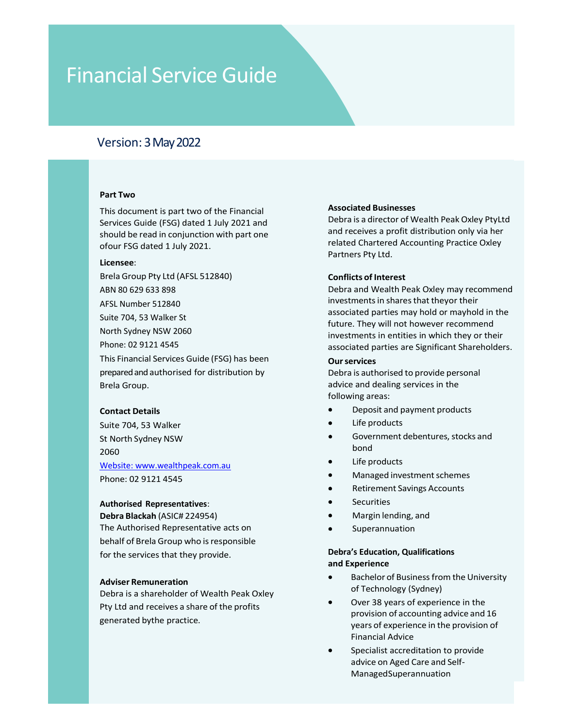## Version: 3May2022

**EXECUTE:**<br> **Part Two**<br> **Part Two**<br> **Part Two**<br> **Part Two**<br> **Part Two**<br> **Part Two**<br> **Part Two**<br> **Part Two**<br> **Part Two**<br> **Part Two of the Financial**<br> **Particular Part Of Two Services**<br> **Particular Particular Part Of Two Cou EXERCT AND SERVICE GUIDE<br>
SERVICE GUIDE<br>
Version: 3 May 2022<br>
Part Two<br>
This document is part two of the Financial<br>
Services Guide (FSG) dated 1 July 2021 and<br>
should be read in conjunction with part one<br>
of our FSG dated** 

## Licensee:

**EXECUTE:**<br>
Many 2022<br>
Many 2022<br>
Many 2022<br>
Many 2022<br>
Many 2022<br>
This document is part two of the Financial<br>
Services Guide (FSG) dated 1 July 2021 and<br>
Services Guide (FSG) dated 1 July 2021<br>
Many 2021<br>
Many 2021<br>
Many ABN 80 629 633 898 AFSL Number 512840 Suite 704, 53 Walker St North Sydney NSW 2060 Phone: 02 9121 4545 Version: 3 May 2022<br>
Part Two<br>
This document is part two of the Financial<br>
Services Guide (FSG) dated 1 July 2021 and<br>
services Guide (FSG) dated 1 July 2021<br>
show the part of date of the Financial<br>
order as a profit distr Version: 3 May 2022<br>
Part Two<br>
This document is part two of the Financial<br>
Services Guided 1 July 2021 and<br>
Services Guided 1 July 2021<br>
Services Guided 1 July 2021<br>
Licensee:<br>
Icelase:<br>
Icelase:<br>
Icelase:<br>
Icelase:<br>
Icela **Part Two Associated Businesses**<br>
This document is part two of the Financial<br>
Services Guide (FSG) dated 1 July 2021 and<br>
should be read in conjunction with part one<br>
should be read at July 2021.<br>
Solon FSG dated 1 July 20 **Part Two**<br>
This document is part two of the Financial<br>
Services Guide (FSG) dated 1 July 2021 and<br>
services Guide (FSG) dated 1 July 2021 and<br>
and receives a profit distribution<br>
freatment and receives applied Account<br>
Fe Part I Wo<br>
This document is part two of the Financial<br>
Services Guide (FSG) dated 1 July 2021 and<br>
Services Guide (FSG) dated 1 July 2021 and<br>
Internate:<br>
License:<br>
License:<br>
License:<br>
License:<br>
License:<br>
Suite 704, 53 Wal This document is part two of the Financial<br>
Services Guide (FSG) dated 1 July 2021 and<br>
Services Guide (FSG) dated 1 July 2021<br>
Show the part of the Sydney Nyther of Accounting Practices:<br>
Break Group Pty Ltd (AFSL 512840) Discribes and Back and Sale of Breakth (ASL 512840)<br>
Dependent Conflicts of Interest<br>
Series Group Pty Ltd (AFSL 512840)<br>
AFSL Number 512840<br>
AFSL Number 512840<br>
North Sydney NSW 2060<br>
North Sydney NSW 2060<br>
Phone: 02 9121 ABN 80 629 633 898<br>
ABN 80 629 633 898<br>
SISI Number S12840<br>
SIGN 1076 53 Walker St<br>
North Sydney NSW 2060<br>
North Sydney NSW 2060<br>
North Sydney NSW 2060<br>
Phone: 02 9121 4545<br>
Intersection and the significant Shareh<br>
This Fi AFSL Number 512840<br>
Suite 704, 531 Walker St<br>
North Sydner SUSV 2060<br>
North Sydner SUSV 2060<br>
North Sydner SUSV 2060<br>
North Sydney NSW 2060<br>
North Sydney NSW 2060<br>
Pepared and authorised for distribution by<br>
This Financial Suite 704, 53 Walker St<br>
North Sydney NSW 20060<br>
Thus: They will not however recommend<br>
investments in entities in which they or their<br>
This Financial Services Guide (FSG) has been<br>
our services<br>
our services<br>
our services North Sydney NSW 2060<br>
investments in entities in which they or their<br>
This Financial Services Guide (FSG) has been<br>
The services of the services<br>
prepared and authorised for distribution by<br>
prepared and authorised for di

2060 Website: www.wealthpeak.com.au This Financial Services Guide (FSG) has been<br>
prepared and authorised for distribution by<br>
Brela Group.<br>
Services and dealing services<br>
Contact Details<br>
Suite 704, 53 Walker<br>
Suite 704, 53 Walker<br>
Suite 704, 53 Walker<br>
Sui prepared and uthorised for distribution by<br>
Debra is a uthorised to provide personal<br>
Brela Group.<br>
Contact Details<br>
Subsection of distribution by<br>
Subsection and dealing services in the<br>
Subsection of Mathematical State 7 Excel a Group.<br>
Since the profits and the profits of the profits of the profits of the profit and receives a shareholder of weakling series and the profit of the profit of the profit of the profit of the profit of the prof Contact Details<br>
Subset 704, 53 Walker<br>
St North Sydney NSW<br>
St North Sydney NSW<br>
St North Sydney NSW<br>
St North Sydney NSW<br>
St North Sydney NSW<br>
Phone: 02 9121 4545<br>
Phone: 02 9121 4545<br>
Phone: 02 9121 4545<br>
Phone: 02 9121

## Authorised Representatives:

**EXECUTE SERVICE SAND ASSOCIATE SERVICE SERVICE SERVICE SERVICE SERVICE SERVICE SPARE SOCIAL PRESSOCIATE SPARE THIS DOCUMENT SOCIETY OF SCIENCIL CONTROLLY AND SERVICE SOME SPARE SOCIAL CONTROLLY AND SERVICE SOME SPARE ONLY** Service Guide<br>
Version: 3 May 2022<br>
Part Two<br>
This document is part two of the Financial<br>
Services Guide (FSG) dated 1 July 2021 and<br>
Services Guide (FSG) dated 1 July 2021 and<br>
Services a profit distribution only via her<br> should be read in conjunction with part of the Financial<br>should be read in conjunction with part one<br>should be read in conjunction with part one<br>should be read in conjunction with part one<br>of our FSG dated 1 July 2021.<br>It Associated Businesses<br>Debra is a director of Wealth Peak Oxley Ptyltd<br>and receives a profit distribution only via her<br>related Chartered Accounting Practice Oxley<br>Partners Pty Ltd.<br>Conflicts of Interact Associated Businesses<br>Debra is a director of Wealth Peak Oxley Ptyltd<br>and receives a profit distribution only via her<br>related Chartered Accounting Practice Oxley<br>Partners Pty Ltd.<br>Conflicts of Interest Associated Businesses<br>Debra is a director of Wealth Peak Oxley PtyLtd<br>and receives a profit distribution only via her<br>related Chartered Accounting Practice Oxley<br>Partners Pty Ltd.<br>Conflicts of Interest<br>Debra and Wealth Pea Associated Businesses<br>Debra is a director of Wealth Peak Oxley PtyLtd<br>and receives a profit distribution only via her<br>related Chartered Accounting Practice Oxley<br>Partners Pty Ltd.<br>Conflicts of Interest<br>Debra and Wealth Pea Associated Businesses<br>Debra is a director of Wealth Peak Oxley PtyLtd<br>and receives a profit distribution only via her<br>related Chartered Accounting Practice Oxley<br>Partners Pty Ltd.<br>Conflicts of Interest<br>Debra and Wealth Pea

Associated Businesses<br>Debra is a director of Wealth Peak Oxley PtyLtd<br>and receives a profit distribution only via her<br>prelated Chartered Accounting Practice Oxley<br>Partners Pty Ltd.<br>Conflicts of Interest<br>Debra and Wealth Pe Associated Businesses<br>Debra is a director of Wealth Peak Oxley PtyLtd<br>and receives a profit distribution only via her<br>related Chartered Accounting Practice Oxley<br>Partners Pty Ltd.<br>Conflicts of Interest<br>investments in share Associated Businesses<br>Debra is a director of Wealth Peak Oxley PtyLtd<br>and receives a profit distribution only via her<br>related Chartered Accounting Practice Oxley<br>Partners Pty Ltd.<br>Conflicts of Interest<br>Debra and Wealth Pea Associated Businesses<br>Debra is a director of Wealth Peak Oxley PtyLtd<br>and receives a profit distribution only via her<br>related Chartered Accounting Practice Oxley<br>Partners Pty Ltd.<br>Conflicts of Interest<br>Debra and Wealth Pea Associated Businesses<br>Debra is a director of Wealth Peak Oxley PtyLtd<br>Debra is a director of Wealth Peak Oxley PtyLtd<br>and receives a profit distribution only via her<br>related Chartered Accounting Practice Oxley<br>Partners Pty Associated Businesses<br>Debra is a director of Wealth Peak Oxley PtyLtd<br>and receives a profit distribution only via her<br>related Chartered Accounting Practice Oxley<br>Partners Pty Ltd.<br>Conflicts of Interest<br>Debra and Wealth Pea Associated Businesses<br>Debra is a director of Wealth Peak Oxley PtyLtd<br>and receives a profit distribution only via her<br>Partners Pty Ltd.<br>**Conflicts of Interest**<br>Debra and Wealth Peak Oxley may recommend<br>investments in share Associated Businesses<br>Debra is a director of Wealth Peak Oxley PtyLtd<br>and receives a profit distribution only via her<br>related Chartered Accounting Practice Oxley<br>Partners Pty Ltd.<br>Conflicts of Interest<br>Debra and Wealth Pea Associated Businesses<br>
Debra is a director of Wealth Peak Oxley PtyLtd<br>
and receives a profit distribution only via her<br>
related Chartered Accounting Practice Oxley<br>
Partners Pty Ltd.<br> **Conflicts of Interest**<br>
Debra and We Associated Businesses<br>
Debra is a director of Wealth Peak Oxley PtyLtd<br>
and receives a profit distribution only via her<br>
related Chartered Accounting Practice Oxley<br>
Partners Pty Ltd.<br> **Conflicts of Interest**<br>
Debra and We Associated Businesses<br>
Debra is a director of Wealth Peak Oxley Ptyltd<br>
and receives a profit distribution only via her<br>
related Chartered Accounting Practice Oxley<br>
Partners Pty Ltd.<br> **Conflicts of Interest**<br>
Debra and We ated Businesses<br>
is a director of Wealth Peak Oxley PtyLtd<br>
ceives a profit distribution only via her<br>
clochartered Accounting Practice Oxley<br>
rs Pty Ltd.<br>
tts of Interest<br>
and Wealth Peak Oxley may recommend<br>
and wealth P ated Businesses<br>is a director of Wealth Peak Oxley PtyLtd<br>ceives a profit distribution only via her<br>d Chartered Accounting Practice Oxley<br>rsr Pty Ltd.<br>ts of Interest<br>and Wealth Peak Oxley may recommend<br>iments in shares tha ated Businesses<br>
is a director of Wealth Peak Oxley PtyLtd<br>
ceives a profit distribution only via her<br>
ceives a profit distribution only via her<br>
d'Chartered Accounting Practice Oxley<br>
rrs Pty Ltd.<br>
and Wealth Peak Oxley m ceives a profit distribution only via her<br>discrimed Chartered Accounting Practice Oxley<br>rs Pty Ltd.<br>**cts of Interest**<br>and Wealth Peak Oxley may recommend<br>ments in shares that theyor their<br>and parties may hold or mayhold in res Pty Ltd.<br>
and Wealth Peak Oxley may recommend<br>
ments in shares that theyor their<br>
and Wealth Peak Oxley may recommend<br>
ments in shares that theyor their<br>
ments in entities are Significant Shareholders.<br>
revices<br>
is aut retain and Wealth Peak Oxley may recommend<br>and Wealth Peak Oxley may recommend<br>ments in shares that theyor their<br>the parties may hold or mayhold in the<br>ments in entities in which they or their<br>and parties are Significant S and Wealth Peak Oxley may recommend<br>ments in shares that theyor their<br>ated parties may hold or mayhold in the<br>ments in entities in which they or their<br>ments in entities are Significant Shareholders.<br>**rvices**<br>is authorised

- 
- 
- bond and the contract of the contract of the contract of the contract of the contract of the contract of the c
- 
- 
- 
- **Securities**
- 
- Superannuation

## Debra's Education, Qualifications

- 
- investments in entities in which they or their<br>
associated parties are Significant Shareholders.<br> **Our services**<br>
Debra is authorised to provide personal<br>
advice and dealing services in the<br>
following areas:<br>
 Deposit and ated parties are Significant Shareholders.<br>
rivices<br>
is authorised to provide personal<br>
and dealing services in the<br>
eing areas:<br>
Deposit and payment products<br>
Life products<br>
Government debentures, stocks and<br>
bond<br>
Life p privies<br>
is authorised to provide personal<br>
and dealing services in the<br>
ing areas:<br>
Deposit and payment products<br>
Life products<br>
Government debentures, stocks and<br>
bond<br>
Life products<br>
Managed investment schemes<br>
Retireme is authorised to provide personal<br>
and dealing services in the<br>
ing areas:<br>
Deposit and payment products<br>
Life products<br>
Government debentures, stocks and<br>
bond<br>
Life products<br>
Managed investment schemes<br>
Retirement Saving e and dealing services in the<br>
ing areas:<br>
Deposit and payment products<br>
Life products<br>
Government debentures, stocks and<br>
bond<br>
Life products<br>
Managed investment schemes<br>
Retirement Savings Accounts<br>
Securities<br>
Margin le ring areas:<br>
Deposit and payment products<br>
Life products<br>
Government debentures, stocks and<br>
bond<br>
Life products<br>
Managed investment schemes<br>
Retirement Savings Accounts<br>
Securities<br>
Margin lending, and<br>
Superannuation<br>
Su Deposit and payment products<br>
Life products<br>
Government debentures, stocks and<br>
bond<br>
Life products<br>
Managed investment schemes<br>
Retirement Savings Accounts<br>
Securities<br>
Margin lending, and<br>
Superannuation<br>
"Superannuation Life products<br>
Government debentures, stocks and<br>
bond<br>
Life products<br>
Managed investment schemes<br>
Retirement Savings Accounts<br>
Securities<br>
Margin lending, and<br>
Superannuation<br>
's **Education, Qualifications<br>
xperience**<br>
Ba Government debentures, stocks and<br>
bond<br>
Life products<br>
Managed investment schemes<br>
Retirement Savings Accounts<br>
Securities<br>
Margin lending, and<br>
Superannuation<br>
's Education, Qualifications<br>
xperience<br>
Bachelor of Busines
- ManagedSuperannuation